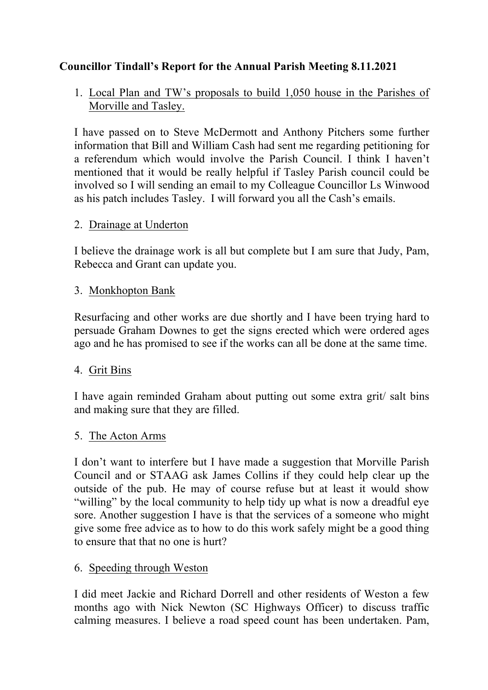# **Councillor Tindall's Report for the Annual Parish Meeting 8.11.2021**

1. Local Plan and TW's proposals to build 1,050 house in the Parishes of Morville and Tasley.

I have passed on to Steve McDermott and Anthony Pitchers some further information that Bill and William Cash had sent me regarding petitioning for a referendum which would involve the Parish Council. I think I haven't mentioned that it would be really helpful if Tasley Parish council could be involved so I will sending an email to my Colleague Councillor Ls Winwood as his patch includes Tasley. I will forward you all the Cash's emails.

### 2. Drainage at Underton

I believe the drainage work is all but complete but I am sure that Judy, Pam, Rebecca and Grant can update you.

### 3. Monkhopton Bank

Resurfacing and other works are due shortly and I have been trying hard to persuade Graham Downes to get the signs erected which were ordered ages ago and he has promised to see if the works can all be done at the same time.

# 4. Grit Bins

I have again reminded Graham about putting out some extra grit/ salt bins and making sure that they are filled.

# 5. The Acton Arms

I don't want to interfere but I have made a suggestion that Morville Parish Council and or STAAG ask James Collins if they could help clear up the outside of the pub. He may of course refuse but at least it would show "willing" by the local community to help tidy up what is now a dreadful eye sore. Another suggestion I have is that the services of a someone who might give some free advice as to how to do this work safely might be a good thing to ensure that that no one is hurt?

#### 6. Speeding through Weston

I did meet Jackie and Richard Dorrell and other residents of Weston a few months ago with Nick Newton (SC Highways Officer) to discuss traffic calming measures. I believe a road speed count has been undertaken. Pam,